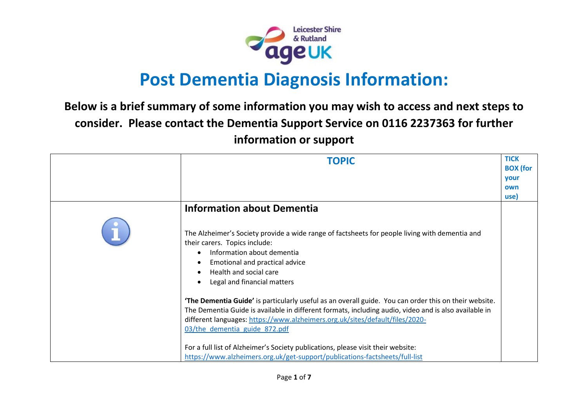

# **Post Dementia Diagnosis Information:**

## **Below is a brief summary of some information you may wish to access and next steps to consider. Please contact the Dementia Support Service on 0116 2237363 for further information or support**

| <b>TOPIC</b>                                                                                                                                                                                                                                                                                                                                                                                                                                                                                                                                                                                                                                                                                                                                                                                        | <b>TICK</b><br><b>BOX</b> (for<br><b>vour</b><br>own<br>use) |
|-----------------------------------------------------------------------------------------------------------------------------------------------------------------------------------------------------------------------------------------------------------------------------------------------------------------------------------------------------------------------------------------------------------------------------------------------------------------------------------------------------------------------------------------------------------------------------------------------------------------------------------------------------------------------------------------------------------------------------------------------------------------------------------------------------|--------------------------------------------------------------|
| <b>Information about Dementia</b><br>The Alzheimer's Society provide a wide range of factsheets for people living with dementia and<br>their carers. Topics include:<br>Information about dementia<br>Emotional and practical advice<br>Health and social care<br>Legal and financial matters<br>'The Dementia Guide' is particularly useful as an overall guide. You can order this on their website.<br>The Dementia Guide is available in different formats, including audio, video and is also available in<br>different languages: https://www.alzheimers.org.uk/sites/default/files/2020-<br>03/the dementia guide 872.pdf<br>For a full list of Alzheimer's Society publications, please visit their website:<br>https://www.alzheimers.org.uk/get-support/publications-factsheets/full-list |                                                              |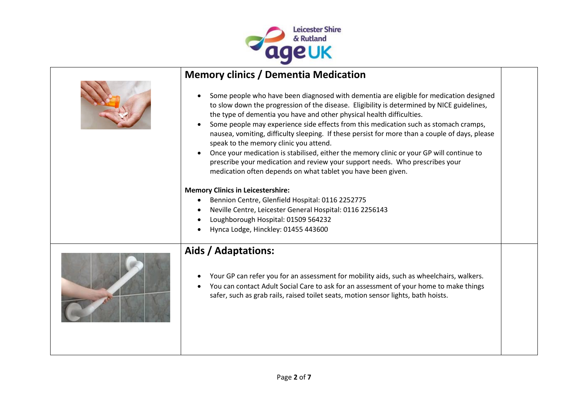

| <b>Memory clinics / Dementia Medication</b>                                                                                                                                                                                                                                                                                                                                                                                                                                                                                                                                                                                                                                                                                                                |                                                                                                                                                                                          |
|------------------------------------------------------------------------------------------------------------------------------------------------------------------------------------------------------------------------------------------------------------------------------------------------------------------------------------------------------------------------------------------------------------------------------------------------------------------------------------------------------------------------------------------------------------------------------------------------------------------------------------------------------------------------------------------------------------------------------------------------------------|------------------------------------------------------------------------------------------------------------------------------------------------------------------------------------------|
| Some people who have been diagnosed with dementia are eligible for medication designed<br>to slow down the progression of the disease. Eligibility is determined by NICE guidelines,<br>the type of dementia you have and other physical health difficulties.<br>Some people may experience side effects from this medication such as stomach cramps,<br>nausea, vomiting, difficulty sleeping. If these persist for more than a couple of days, please<br>speak to the memory clinic you attend.<br>Once your medication is stabilised, either the memory clinic or your GP will continue to<br>$\bullet$<br>prescribe your medication and review your support needs. Who prescribes your<br>medication often depends on what tablet you have been given. |                                                                                                                                                                                          |
|                                                                                                                                                                                                                                                                                                                                                                                                                                                                                                                                                                                                                                                                                                                                                            |                                                                                                                                                                                          |
|                                                                                                                                                                                                                                                                                                                                                                                                                                                                                                                                                                                                                                                                                                                                                            |                                                                                                                                                                                          |
| Neville Centre, Leicester General Hospital: 0116 2256143                                                                                                                                                                                                                                                                                                                                                                                                                                                                                                                                                                                                                                                                                                   |                                                                                                                                                                                          |
| Loughborough Hospital: 01509 564232                                                                                                                                                                                                                                                                                                                                                                                                                                                                                                                                                                                                                                                                                                                        |                                                                                                                                                                                          |
| Hynca Lodge, Hinckley: 01455 443600                                                                                                                                                                                                                                                                                                                                                                                                                                                                                                                                                                                                                                                                                                                        |                                                                                                                                                                                          |
| Aids / Adaptations:                                                                                                                                                                                                                                                                                                                                                                                                                                                                                                                                                                                                                                                                                                                                        |                                                                                                                                                                                          |
| You can contact Adult Social Care to ask for an assessment of your home to make things<br>safer, such as grab rails, raised toilet seats, motion sensor lights, bath hoists.                                                                                                                                                                                                                                                                                                                                                                                                                                                                                                                                                                               |                                                                                                                                                                                          |
|                                                                                                                                                                                                                                                                                                                                                                                                                                                                                                                                                                                                                                                                                                                                                            | <b>Memory Clinics in Leicestershire:</b><br>Bennion Centre, Glenfield Hospital: 0116 2252775<br>Your GP can refer you for an assessment for mobility aids, such as wheelchairs, walkers. |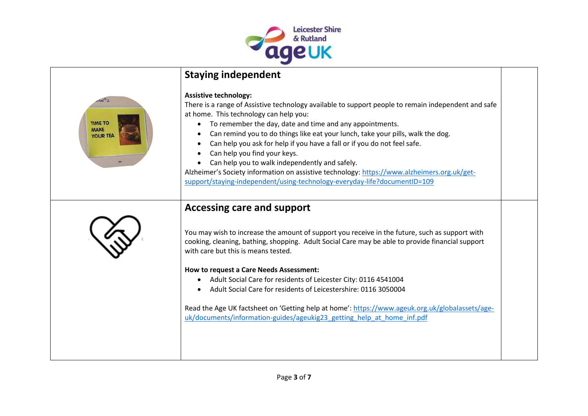

## **Staying independent**

| <b>TIME TO</b><br><b>MAKE</b><br>YOUR TEA | <b>Assistive technology:</b><br>There is a range of Assistive technology available to support people to remain independent and safe<br>at home. This technology can help you:<br>To remember the day, date and time and any appointments.<br>Can remind you to do things like eat your lunch, take your pills, walk the dog.<br>Can help you ask for help if you have a fall or if you do not feel safe.<br>Can help you find your keys.<br>Can help you to walk independently and safely.<br>Alzheimer's Society information on assistive technology: https://www.alzheimers.org.uk/get-<br>support/staying-independent/using-technology-everyday-life?documentID=109 |  |
|-------------------------------------------|------------------------------------------------------------------------------------------------------------------------------------------------------------------------------------------------------------------------------------------------------------------------------------------------------------------------------------------------------------------------------------------------------------------------------------------------------------------------------------------------------------------------------------------------------------------------------------------------------------------------------------------------------------------------|--|
|                                           | <b>Accessing care and support</b><br>You may wish to increase the amount of support you receive in the future, such as support with<br>cooking, cleaning, bathing, shopping. Adult Social Care may be able to provide financial support<br>with care but this is means tested.<br>How to request a Care Needs Assessment:<br>Adult Social Care for residents of Leicester City: 0116 4541004<br>Adult Social Care for residents of Leicestershire: 0116 3050004<br>Read the Age UK factsheet on 'Getting help at home': https://www.ageuk.org.uk/globalassets/age-<br>uk/documents/information-guides/ageukig23 getting help at home inf.pdf                           |  |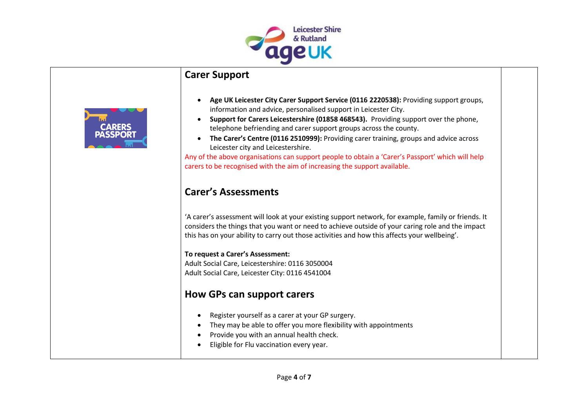

### **Carer Support**

- **Age UK Leicester City Carer Support Service (0116 2220538):** Providing support groups, information and advice, personalised support in Leicester City.
- **Support for Carers Leicestershire (01858 468543).** Providing support over the phone, telephone befriending and carer support groups across the county.
- **The Carer's Centre (0116 2510999):** Providing carer training, groups and advice across Leicester city and Leicestershire.

Any of the above organisations can support people to obtain a 'Carer's Passport' which will help carers to be recognised with the aim of increasing the support available.

## **Carer's Assessments**

'A carer's assessment will look at your existing support network, for example, family or friends. It considers the things that you want or need to achieve outside of your caring role and the impact this has on your ability to carry out those activities and how this affects your wellbeing'.

#### **To request a Carer's Assessment:**

Adult Social Care, Leicestershire: 0116 3050004 Adult Social Care, Leicester City: 0116 4541004

## **How GPs can support carers**

- Register yourself as a carer at your GP surgery.
- They may be able to offer you more flexibility with appointments
- Provide you with an annual health check.
- Eligible for Flu vaccination every year.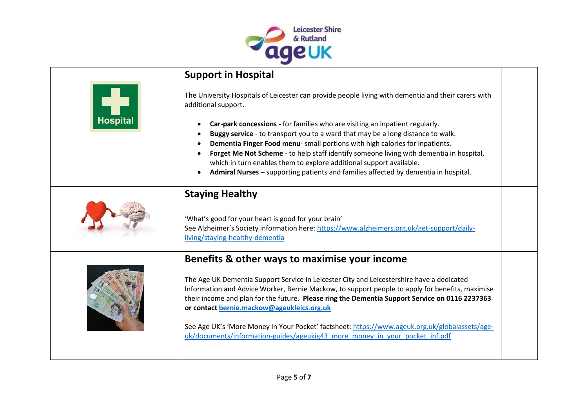

|                 | <b>Support in Hospital</b>                                                                                                                                                                                                                                                                                                                                                                                                                                                                                                                                                     |
|-----------------|--------------------------------------------------------------------------------------------------------------------------------------------------------------------------------------------------------------------------------------------------------------------------------------------------------------------------------------------------------------------------------------------------------------------------------------------------------------------------------------------------------------------------------------------------------------------------------|
| <b>Hospital</b> | The University Hospitals of Leicester can provide people living with dementia and their carers with<br>additional support.                                                                                                                                                                                                                                                                                                                                                                                                                                                     |
|                 | Car-park concessions - for families who are visiting an inpatient regularly.<br>Buggy service - to transport you to a ward that may be a long distance to walk.<br>Dementia Finger Food menu- small portions with high calories for inpatients.<br>Forget Me Not Scheme - to help staff identify someone living with dementia in hospital,<br>which in turn enables them to explore additional support available.<br>Admiral Nurses - supporting patients and families affected by dementia in hospital.                                                                       |
|                 | <b>Staying Healthy</b><br>'What's good for your heart is good for your brain'<br>See Alzheimer's Society information here: https://www.alzheimers.org.uk/get-support/daily-<br>living/staying-healthy-dementia                                                                                                                                                                                                                                                                                                                                                                 |
|                 | Benefits & other ways to maximise your income<br>The Age UK Dementia Support Service in Leicester City and Leicestershire have a dedicated<br>Information and Advice Worker, Bernie Mackow, to support people to apply for benefits, maximise<br>their income and plan for the future. Please ring the Dementia Support Service on 0116 2237363<br>or contact bernie.mackow@ageukleics.org.uk<br>See Age UK's 'More Money In Your Pocket' factsheet: https://www.ageuk.org.uk/globalassets/age-<br>uk/documents/information-guides/ageukig43 more money in your pocket inf.pdf |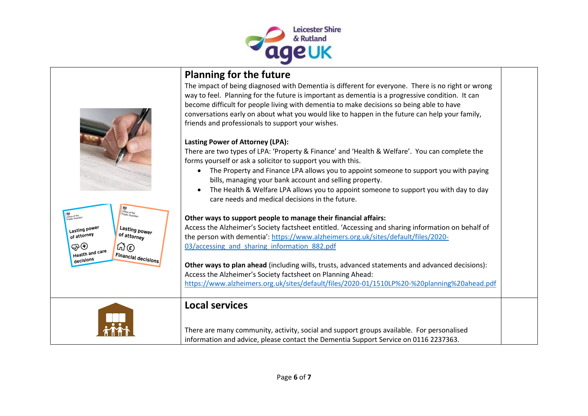



## **Planning for the future**

The impact of being diagnosed with Dementia is different for everyone. There is no right or wrong way to feel. Planning for the future is important as dementia is a progressive condition. It can become difficult for people living with dementia to make decisions so being able to have conversations early on about what you would like to happen in the future can help your family, friends and professionals to support your wishes.

#### **Lasting Power of Attorney (LPA):**

There are two types of LPA: 'Property & Finance' and 'Health & Welfare'. You can complete the forms yourself or ask a solicitor to support you with this.

- The Property and Finance LPA allows you to appoint someone to support you with paying bills, managing your bank account and selling property.
- The Health & Welfare LPA allows you to appoint someone to support you with day to day care needs and medical decisions in the future.

#### **Other ways to support people to manage their financial affairs:**

Access the Alzheimer's Society factsheet entitled. 'Accessing and sharing information on behalf of the person with dementia': [https://www.alzheimers.org.uk/sites/default/files/2020-](https://www.alzheimers.org.uk/sites/default/files/2020-03/accessing_and_sharing_information_882.pdf) 03/accessing and sharing information 882.pdf

**Other ways to plan ahead** (including wills, trusts, advanced statements and advanced decisions): Access the Alzheimer's Society factsheet on Planning Ahead: <https://www.alzheimers.org.uk/sites/default/files/2020-01/1510LP%20-%20planning%20ahead.pdf>

### **Local services**

There are many community, activity, social and support groups available. For personalised information and advice, please contact the Dementia Support Service on 0116 2237363.